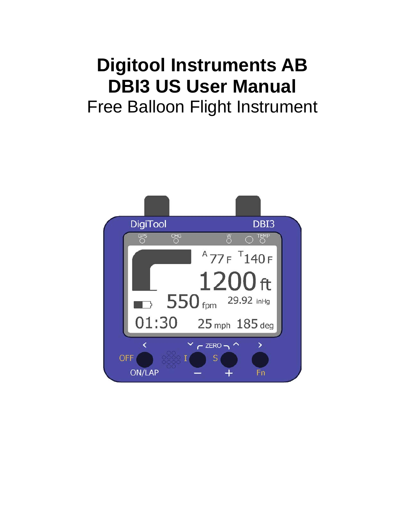# **Digitool Instruments AB DBI3 US User Manual**

Free Balloon Flight Instrument

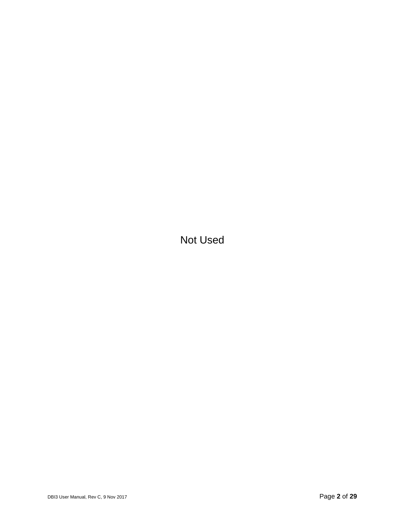Not Used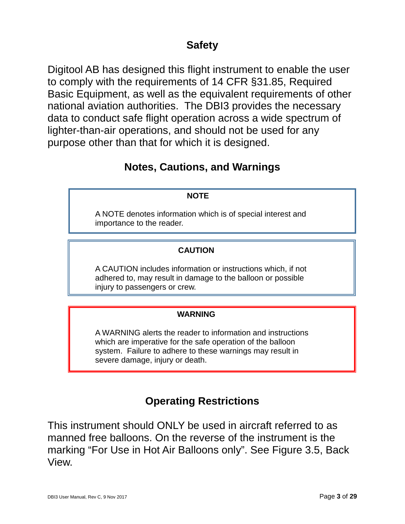#### **Safety**

Digitool AB has designed this flight instrument to enable the user to comply with the requirements of 14 CFR §31.85, Required Basic Equipment, as well as the equivalent requirements of other national aviation authorities. The DBI3 provides the necessary data to conduct safe flight operation across a wide spectrum of lighter-than-air operations, and should not be used for any purpose other than that for which it is designed.

#### **Notes, Cautions, and Warnings**

#### **NOTE**

A NOTE denotes information which is of special interest and importance to the reader.

#### **CAUTION**

A CAUTION includes information or instructions which, if not adhered to, may result in damage to the balloon or possible injury to passengers or crew.

#### **WARNING**

A WARNING alerts the reader to information and instructions which are imperative for the safe operation of the balloon system. Failure to adhere to these warnings may result in severe damage, injury or death.

#### **Operating Restrictions**

This instrument should ONLY be used in aircraft referred to as manned free balloons. On the reverse of the instrument is the marking "For Use in Hot Air Balloons only". See Figure 3.5, Back View.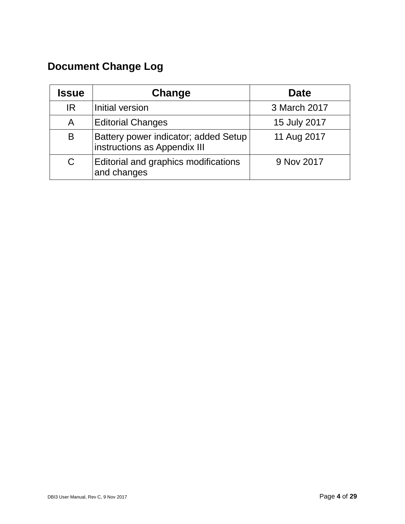## **Document Change Log**

| <b>Issue</b> | Change                                                               | <b>Date</b>  |
|--------------|----------------------------------------------------------------------|--------------|
| IR.          | Initial version                                                      | 3 March 2017 |
| A            | <b>Editorial Changes</b>                                             | 15 July 2017 |
| B            | Battery power indicator; added Setup<br>instructions as Appendix III | 11 Aug 2017  |
| C            | Editorial and graphics modifications<br>and changes                  | 9 Nov 2017   |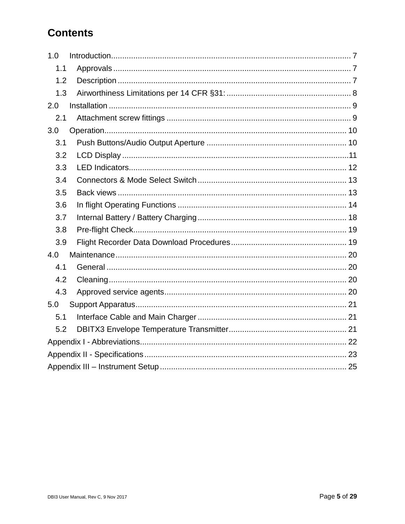### **Contents**

| 1.0 |  |  |  |
|-----|--|--|--|
| 1.1 |  |  |  |
| 1.2 |  |  |  |
| 1.3 |  |  |  |
| 2.0 |  |  |  |
| 2.1 |  |  |  |
| 3.0 |  |  |  |
| 3.1 |  |  |  |
| 3.2 |  |  |  |
| 3.3 |  |  |  |
| 3.4 |  |  |  |
| 3.5 |  |  |  |
| 3.6 |  |  |  |
| 3.7 |  |  |  |
| 3.8 |  |  |  |
| 3.9 |  |  |  |
| 4.0 |  |  |  |
| 4.1 |  |  |  |
| 4.2 |  |  |  |
| 4.3 |  |  |  |
| 5.0 |  |  |  |
| 5.1 |  |  |  |
| 5.2 |  |  |  |
|     |  |  |  |
|     |  |  |  |
|     |  |  |  |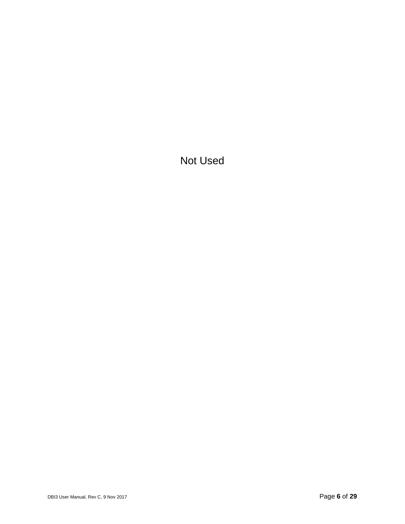Not Used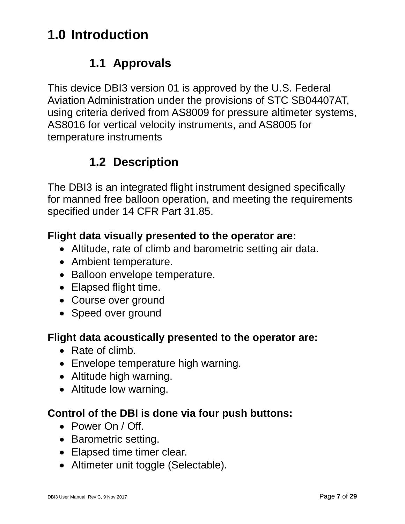## <span id="page-6-0"></span>**1.0 Introduction**

### **1.1 Approvals**

<span id="page-6-1"></span>This device DBI3 version 01 is approved by the U.S. Federal Aviation Administration under the provisions of STC SB04407AT, using criteria derived from AS8009 for pressure altimeter systems, AS8016 for vertical velocity instruments, and AS8005 for temperature instruments

## **1.2 Description**

<span id="page-6-2"></span>The DBI3 is an integrated flight instrument designed specifically for manned free balloon operation, and meeting the requirements specified under 14 CFR Part 31.85.

#### **Flight data visually presented to the operator are:**

- Altitude, rate of climb and barometric setting air data.
- Ambient temperature.
- Balloon envelope temperature.
- Elapsed flight time.
- Course over ground
- Speed over ground

#### **Flight data acoustically presented to the operator are:**

- Rate of climb.
- Envelope temperature high warning.
- Altitude high warning.
- Altitude low warning.

#### **Control of the DBI is done via four push buttons:**

- Power On / Off.
- Barometric setting.
- Elapsed time timer clear.
- Altimeter unit toggle (Selectable).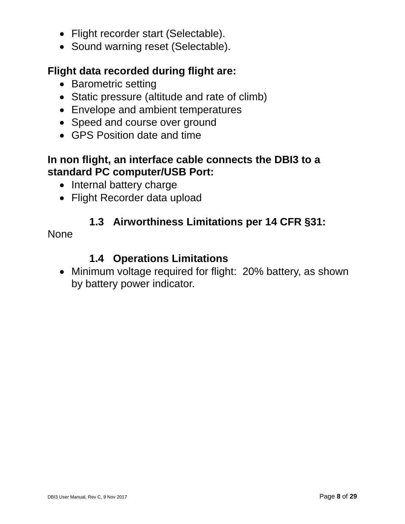- Flight recorder start (Selectable).
- Sound warning reset (Selectable).

#### **Flight data recorded during flight are:**

- Barometric setting
- Static pressure (altitude and rate of climb)
- Envelope and ambient temperatures
- Speed and course over ground
- GPS Position date and time

#### **In non flight, an interface cable connects the DBI3 to a standard PC computer/USB Port:**

- Internal battery charge
- Flight Recorder data upload

#### **1.3 Airworthiness Limitations per 14 CFR §31:**

<span id="page-7-0"></span>**None** 

#### **1.4 Operations Limitations**

• Minimum voltage required for flight: 20% battery, as shown by battery power indicator.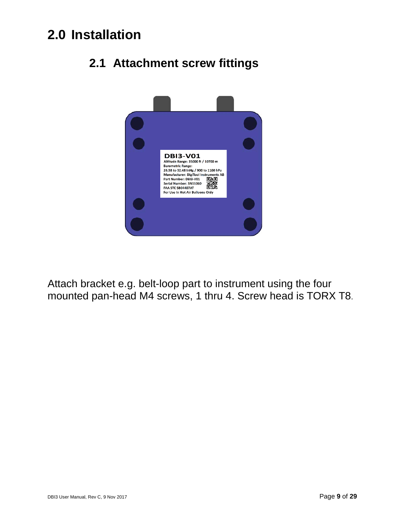## <span id="page-8-1"></span><span id="page-8-0"></span>**2.0 Installation**



## **2.1 Attachment screw fittings**

Attach bracket e.g. belt-loop part to instrument using the four mounted pan-head M4 screws, 1 thru 4. Screw head is TORX T8.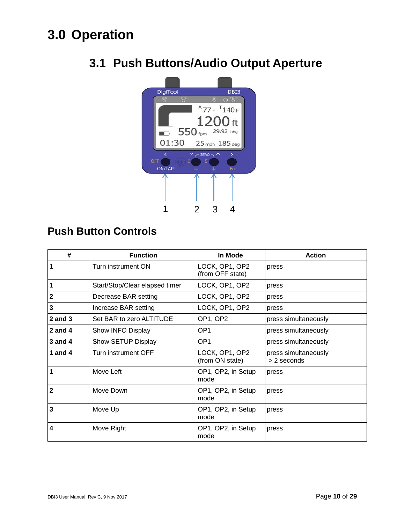## <span id="page-9-1"></span><span id="page-9-0"></span>**3.0 Operation**



## **3.1 Push Buttons/Audio Output Aperture**

#### **Push Button Controls**

| #                       | <b>Function</b>                | In Mode                            | <b>Action</b>                       |
|-------------------------|--------------------------------|------------------------------------|-------------------------------------|
| 1                       | Turn instrument ON             | LOCK, OP1, OP2<br>(from OFF state) | press                               |
| 1                       | Start/Stop/Clear elapsed timer | LOCK, OP1, OP2                     | press                               |
| $\overline{2}$          | Decrease BAR setting           | LOCK, OP1, OP2                     | press                               |
| $\mathbf{3}$            | Increase BAR setting           | LOCK, OP1, OP2                     | press                               |
| $2$ and $3$             | Set BAR to zero ALTITUDE       | OP1, OP2                           | press simultaneously                |
| 2 and $4$               | Show INFO Display              | OP <sub>1</sub>                    | press simultaneously                |
| $3$ and $4$             | Show SETUP Display             | OP <sub>1</sub>                    | press simultaneously                |
| 1 and $4$               | <b>Turn instrument OFF</b>     | LOCK, OP1, OP2<br>(from ON state)  | press simultaneously<br>> 2 seconds |
| 1                       | Move Left                      | OP1, OP2, in Setup<br>mode         | press                               |
| $\overline{2}$          | Move Down                      | OP1, OP2, in Setup<br>mode         | press                               |
| 3                       | Move Up                        | OP1, OP2, in Setup<br>mode         | press                               |
| $\overline{\mathbf{4}}$ | Move Right                     | OP1, OP2, in Setup<br>mode         | press                               |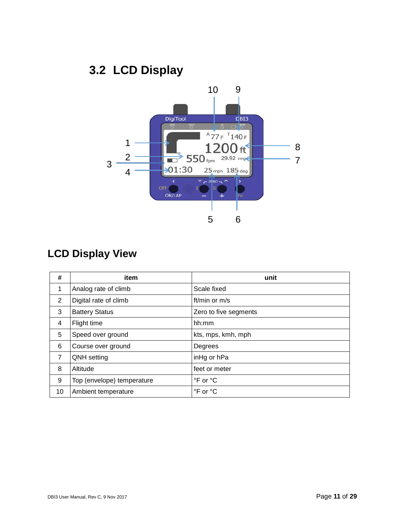## **3.2 LCD Display**

<span id="page-10-0"></span>

### **LCD Display View**

| #              | item                       | unit                  |
|----------------|----------------------------|-----------------------|
| 1              | Analog rate of climb       | Scale fixed           |
| 2              | Digital rate of climb      | ft/min or $m/s$       |
| 3              | <b>Battery Status</b>      | Zero to five segments |
| 4              | Flight time                | hh:mm                 |
| 5              | Speed over ground          | kts, mps, kmh, mph    |
| 6              | Course over ground         | Degrees               |
| $\overline{7}$ | <b>QNH</b> setting         | inHg or hPa           |
| 8              | Altitude                   | feet or meter         |
| 9              | Top (envelope) temperature | °F or °C              |
| 10             | Ambient temperature        | °F or °C              |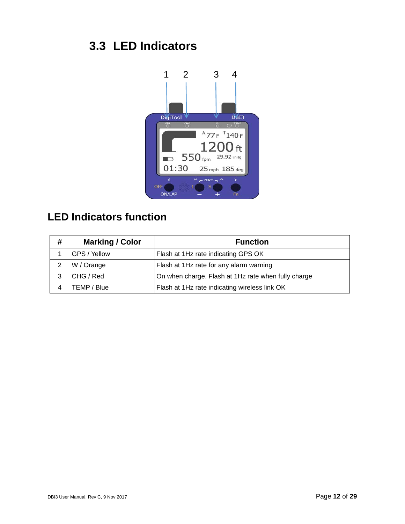## <span id="page-11-0"></span>**3.3 LED Indicators**



## **LED Indicators function**

| # | <b>Marking / Color</b> | <b>Function</b>                                     |
|---|------------------------|-----------------------------------------------------|
|   | GPS / Yellow           | Flash at 1Hz rate indicating GPS OK                 |
|   | W / Orange             | Flash at 1Hz rate for any alarm warning             |
| 3 | CHG / Red              | On when charge. Flash at 1Hz rate when fully charge |
|   | TEMP / Blue            | Flash at 1Hz rate indicating wireless link OK       |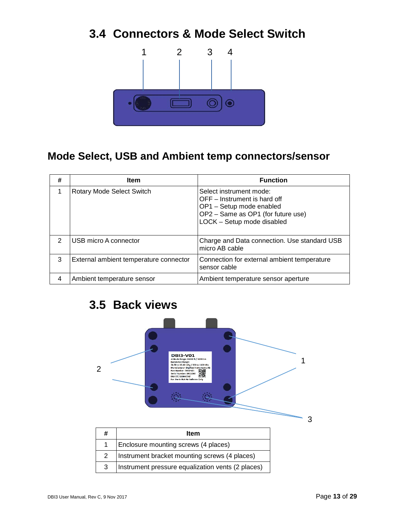### <span id="page-12-0"></span>**3.4 Connectors & Mode Select Switch**



#### **Mode Select, USB and Ambient temp connectors/sensor**

| # | <b>Item</b>                            | <b>Function</b>                                                                                                                                         |
|---|----------------------------------------|---------------------------------------------------------------------------------------------------------------------------------------------------------|
|   | Rotary Mode Select Switch              | Select instrument mode:<br>OFF – Instrument is hard off<br>OP1 - Setup mode enabled<br>OP2 - Same as OP1 (for future use)<br>LOCK - Setup mode disabled |
| 2 | USB micro A connector                  | Charge and Data connection. Use standard USB<br>micro AB cable                                                                                          |
| 3 | External ambient temperature connector | Connection for external ambient temperature<br>sensor cable                                                                                             |
| 4 | Ambient temperature sensor             | Ambient temperature sensor aperture                                                                                                                     |

## <span id="page-12-1"></span>**3.5 Back views**

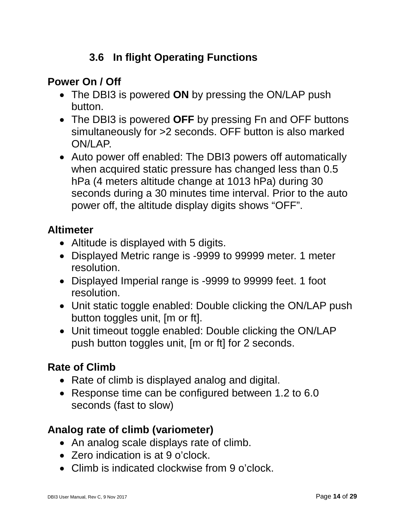### **3.6 In flight Operating Functions**

#### <span id="page-13-0"></span>**Power On / Off**

- The DBI3 is powered **ON** by pressing the ON/LAP push button.
- The DBI3 is powered **OFF** by pressing Fn and OFF buttons simultaneously for >2 seconds. OFF button is also marked ON/LAP.
- Auto power off enabled: The DBI3 powers off automatically when acquired static pressure has changed less than 0.5 hPa (4 meters altitude change at 1013 hPa) during 30 seconds during a 30 minutes time interval. Prior to the auto power off, the altitude display digits shows "OFF".

#### **Altimeter**

- Altitude is displayed with 5 digits.
- Displayed Metric range is -9999 to 99999 meter. 1 meter resolution.
- Displayed Imperial range is -9999 to 99999 feet. 1 foot resolution.
- Unit static toggle enabled: Double clicking the ON/LAP push button toggles unit, [m or ft].
- Unit timeout toggle enabled: Double clicking the ON/LAP push button toggles unit, [m or ft] for 2 seconds.

#### **Rate of Climb**

- Rate of climb is displayed analog and digital.
- Response time can be configured between 1.2 to 6.0 seconds (fast to slow)

#### **Analog rate of climb (variometer)**

- An analog scale displays rate of climb.
- Zero indication is at 9 o'clock.
- Climb is indicated clockwise from 9 o'clock.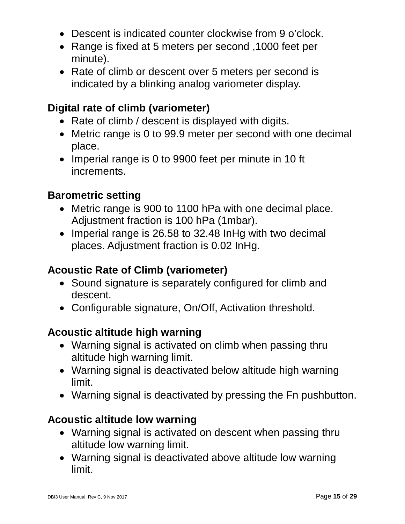- Descent is indicated counter clockwise from 9 o'clock.
- Range is fixed at 5 meters per second ,1000 feet per minute).
- Rate of climb or descent over 5 meters per second is indicated by a blinking analog variometer display.

#### **Digital rate of climb (variometer)**

- Rate of climb / descent is displayed with digits.
- Metric range is 0 to 99.9 meter per second with one decimal place.
- Imperial range is 0 to 9900 feet per minute in 10 ft increments.

#### **Barometric setting**

- Metric range is 900 to 1100 hPa with one decimal place. Adjustment fraction is 100 hPa (1mbar).
- Imperial range is 26.58 to 32.48 In Hg with two decimal places. Adjustment fraction is 0.02 InHg.

#### **Acoustic Rate of Climb (variometer)**

- Sound signature is separately configured for climb and descent.
- Configurable signature, On/Off, Activation threshold.

#### **Acoustic altitude high warning**

- Warning signal is activated on climb when passing thru altitude high warning limit.
- Warning signal is deactivated below altitude high warning limit.
- Warning signal is deactivated by pressing the Fn pushbutton.

#### **Acoustic altitude low warning**

- Warning signal is activated on descent when passing thru altitude low warning limit.
- Warning signal is deactivated above altitude low warning limit.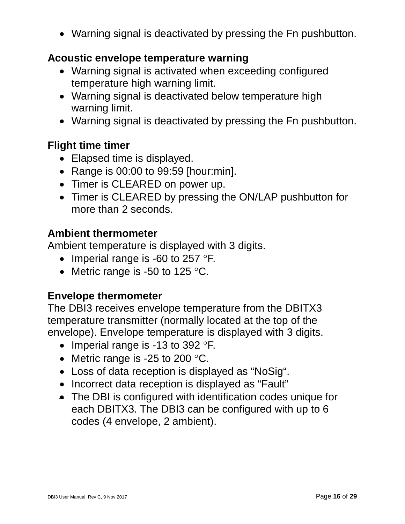• Warning signal is deactivated by pressing the Fn pushbutton.

#### **Acoustic envelope temperature warning**

- Warning signal is activated when exceeding configured temperature high warning limit.
- Warning signal is deactivated below temperature high warning limit.
- Warning signal is deactivated by pressing the Fn pushbutton.

#### **Flight time timer**

- Elapsed time is displayed.
- Range is 00:00 to 99:59 [hour:min].
- Timer is CLEARED on power up.
- Timer is CLEARED by pressing the ON/LAP pushbutton for more than 2 seconds.

#### **Ambient thermometer**

Ambient temperature is displayed with 3 digits.

- Imperial range is -60 to 257 °F.
- Metric range is -50 to 125 °C.

#### **Envelope thermometer**

The DBI3 receives envelope temperature from the DBITX3 temperature transmitter (normally located at the top of the envelope). Envelope temperature is displayed with 3 digits.

- Imperial range is -13 to 392 °F.
- Metric range is -25 to 200 °C.
- Loss of data reception is displayed as "NoSig".
- Incorrect data reception is displayed as "Fault"
- The DBI is configured with identification codes unique for each DBITX3. The DBI3 can be configured with up to 6 codes (4 envelope, 2 ambient).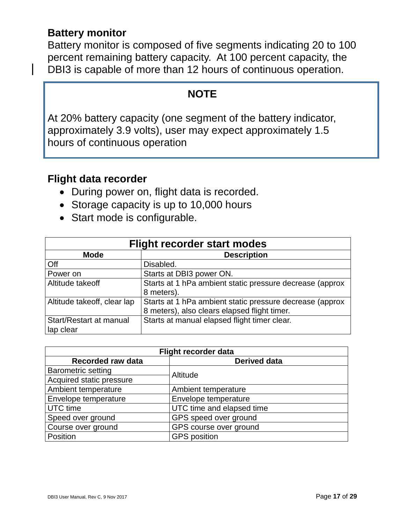#### **Battery monitor**

Battery monitor is composed of five segments indicating 20 to 100 percent remaining battery capacity. At 100 percent capacity, the DBI3 is capable of more than 12 hours of continuous operation.

#### **NOTE**

At 20% battery capacity (one segment of the battery indicator, approximately 3.9 volts), user may expect approximately 1.5 hours of continuous operation

#### **Flight data recorder**

- During power on, flight data is recorded.
- Storage capacity is up to 10,000 hours
- Start mode is configurable.

| <b>Flight recorder start modes</b> |                                                          |  |
|------------------------------------|----------------------------------------------------------|--|
| <b>Mode</b>                        | <b>Description</b>                                       |  |
| Off                                | Disabled.                                                |  |
| Power on                           | Starts at DBI3 power ON.                                 |  |
| Altitude takeoff                   | Starts at 1 hPa ambient static pressure decrease (approx |  |
|                                    | 8 meters).                                               |  |
| Altitude takeoff, clear lap        | Starts at 1 hPa ambient static pressure decrease (approx |  |
|                                    | 8 meters), also clears elapsed flight timer.             |  |
| Start/Restart at manual            | Starts at manual elapsed flight timer clear.             |  |
| lap clear                          |                                                          |  |

| Flight recorder data      |                           |  |
|---------------------------|---------------------------|--|
| <b>Recorded raw data</b>  | <b>Derived data</b>       |  |
| <b>Barometric setting</b> | Altitude                  |  |
| Acquired static pressure  |                           |  |
| Ambient temperature       | Ambient temperature       |  |
| Envelope temperature      | Envelope temperature      |  |
| <b>UTC</b> time           | UTC time and elapsed time |  |
| Speed over ground         | GPS speed over ground     |  |
| Course over ground        | GPS course over ground    |  |
| Position                  | <b>GPS</b> position       |  |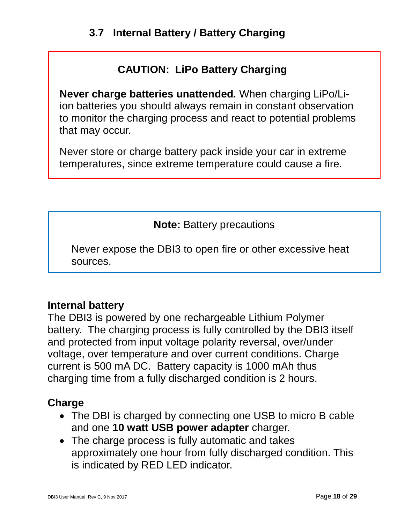### **CAUTION: LiPo Battery Charging**

<span id="page-17-0"></span>**Never charge batteries unattended***.* When charging LiPo/Liion batteries you should always remain in constant observation to monitor the charging process and react to potential problems that may occur.

Never store or charge battery pack inside your car in extreme temperatures, since extreme temperature could cause a fire.

**Note:** Battery precautions

Never expose the DBI3 to open fire or other excessive heat sources.

#### **Internal battery**

The DBI3 is powered by one rechargeable Lithium Polymer battery. The charging process is fully controlled by the DBI3 itself and protected from input voltage polarity reversal, over/under voltage, over temperature and over current conditions. Charge current is 500 mA DC. Battery capacity is 1000 mAh thus charging time from a fully discharged condition is 2 hours.

#### **Charge**

- The DBI is charged by connecting one USB to micro B cable and one **10 watt USB power adapter** charger.
- The charge process is fully automatic and takes approximately one hour from fully discharged condition. This is indicated by RED LED indicator.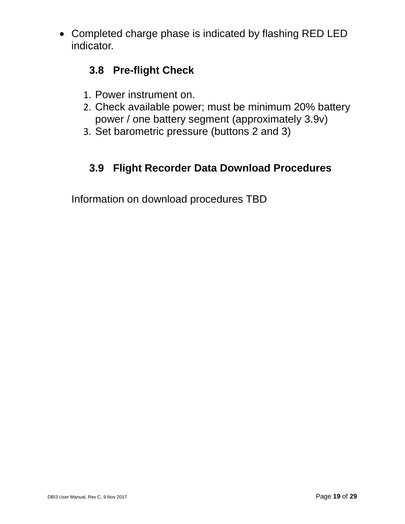<span id="page-18-0"></span>• Completed charge phase is indicated by flashing RED LED indicator.

### **3.8 Pre-flight Check**

- 1. Power instrument on.
- 2. Check available power; must be minimum 20% battery power / one battery segment (approximately 3.9v)
- 3. Set barometric pressure (buttons 2 and 3)

### **3.9 Flight Recorder Data Download Procedures**

<span id="page-18-1"></span>Information on download procedures TBD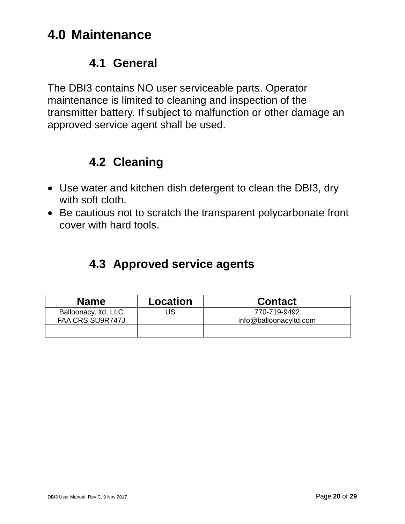## <span id="page-19-0"></span>**4.0 Maintenance**

#### **4.1 General**

<span id="page-19-1"></span>The DBI3 contains NO user serviceable parts. Operator maintenance is limited to cleaning and inspection of the transmitter battery. If subject to malfunction or other damage an approved service agent shall be used.

### **4.2 Cleaning**

- <span id="page-19-2"></span>• Use water and kitchen dish detergent to clean the DBI3, dry with soft cloth.
- Be cautious not to scratch the transparent polycarbonate front cover with hard tools.

## **4.3 Approved service agents**

<span id="page-19-3"></span>

| <b>Name</b>                              | Location | <b>Contact</b>                         |
|------------------------------------------|----------|----------------------------------------|
| Balloonacy, Itd, LLC<br>FAA CRS SU9R747J | US       | 770-719-9492<br>info@balloonacyltd.com |
|                                          |          |                                        |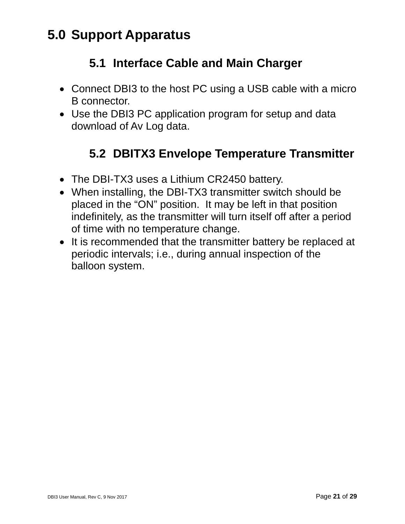## <span id="page-20-1"></span><span id="page-20-0"></span>**5.0 Support Apparatus**

## **5.1 Interface Cable and Main Charger**

- Connect DBI3 to the host PC using a USB cable with a micro B connector.
- Use the DBI3 PC application program for setup and data download of Av Log data.

## **5.2 DBITX3 Envelope Temperature Transmitter**

- <span id="page-20-2"></span>• The DBI-TX3 uses a Lithium CR2450 battery.
- When installing, the DBI-TX3 transmitter switch should be placed in the "ON" position. It may be left in that position indefinitely, as the transmitter will turn itself off after a period of time with no temperature change.
- It is recommended that the transmitter battery be replaced at periodic intervals; i.e., during annual inspection of the balloon system.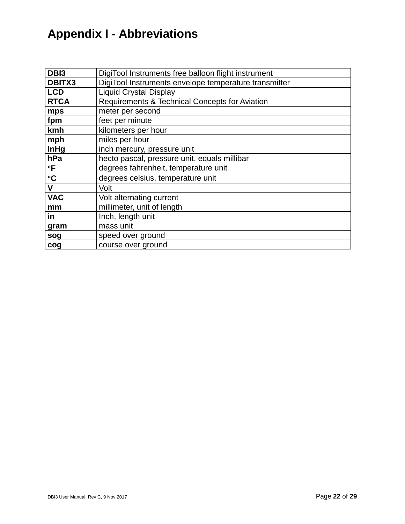## <span id="page-21-0"></span>**Appendix I - Abbreviations**

| DB <sub>13</sub> | DigiTool Instruments free balloon flight instrument   |
|------------------|-------------------------------------------------------|
| <b>DBITX3</b>    | DigiTool Instruments envelope temperature transmitter |
| <b>LCD</b>       | <b>Liquid Crystal Display</b>                         |
| <b>RTCA</b>      | Requirements & Technical Concepts for Aviation        |
| mps              | meter per second                                      |
| fpm              | feet per minute                                       |
| kmh              | kilometers per hour                                   |
| mph              | miles per hour                                        |
| InHg             | inch mercury, pressure unit                           |
| hPa              | hecto pascal, pressure unit, equals millibar          |
| $\mathsf{P}$     | degrees fahrenheit, temperature unit                  |
| $\circ$ C        | degrees celsius, temperature unit                     |
| $\mathbf V$      | Volt                                                  |
| <b>VAC</b>       | Volt alternating current                              |
| mm               | millimeter, unit of length                            |
| in               | Inch, length unit                                     |
| gram             | mass unit                                             |
| sog              | speed over ground                                     |
| cog              | course over ground                                    |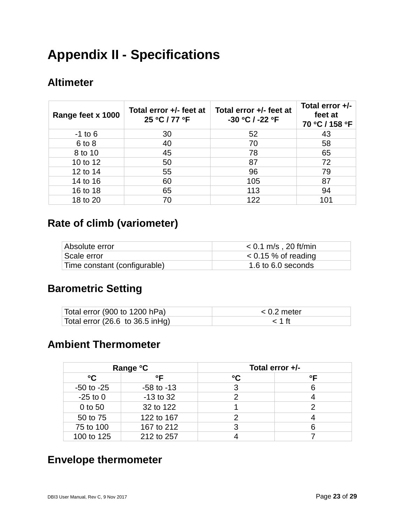## <span id="page-22-0"></span>**Appendix II - Specifications**

#### **Altimeter**

| Range feet x 1000 | Total error +/- feet at<br>25 °C / 77 °F | Total error +/- feet at<br>-30 °C / -22 °F | Total error $+/-$<br>feet at<br>70 °C / 158 °F |
|-------------------|------------------------------------------|--------------------------------------------|------------------------------------------------|
| $-1$ to 6         | 30                                       | 52                                         | 43                                             |
| $6$ to $8$        | 40                                       | 70                                         | 58                                             |
| 8 to 10           | 45                                       | 78                                         | 65                                             |
| 10 to 12          | 50                                       | 87                                         | 72                                             |
| 12 to 14          | 55                                       | 96                                         | 79                                             |
| 14 to 16          | 60                                       | 105                                        | 87                                             |
| 16 to 18          | 65                                       | 113                                        | 94                                             |
| 18 to 20          | 70                                       | 122                                        | 101                                            |

#### **Rate of climb (variometer)**

| Absolute error               | $<$ 0.1 m/s , 20 ft/min |
|------------------------------|-------------------------|
| Scale error                  | $< 0.15$ % of reading   |
| Time constant (configurable) | 1.6 to 6.0 seconds      |

#### **Barometric Setting**

| Total error (900 to 1200 hPa)    | $< 0.2$ meter |
|----------------------------------|---------------|
| Total error (26.6 to 36.5 in Hg) | $<$ 1 ft      |

#### **Ambient Thermometer**

| Range °C       |                |                 | Total error $+/-$ |
|----------------|----------------|-----------------|-------------------|
| °C             | $^{\circ}$     | $\rm ^{\circ}C$ | $^{\circ}$ F      |
| $-50$ to $-25$ | $-58$ to $-13$ |                 |                   |
| $-25$ to 0     | $-13$ to 32    |                 |                   |
| 0 to 50        | 32 to 122      |                 |                   |
| 50 to 75       | 122 to 167     |                 |                   |
| 75 to 100      | 167 to 212     |                 |                   |
| 100 to 125     | 212 to 257     |                 |                   |

#### **Envelope thermometer**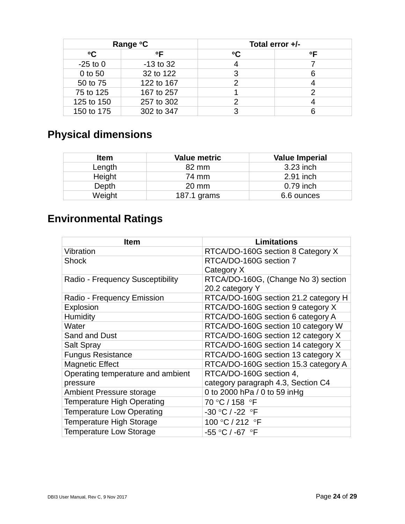| Range °C        |              |                 | Total error +/- |
|-----------------|--------------|-----------------|-----------------|
| $\rm ^{\circ}C$ | $^{\circ}$ F | $\rm ^{\circ}C$ | ∘г              |
| $-25$ to 0      | $-13$ to 32  |                 |                 |
| 0 to 50         | 32 to 122    |                 |                 |
| 50 to 75        | 122 to 167   |                 |                 |
| 75 to 125       | 167 to 257   |                 |                 |
| 125 to 150      | 257 to 302   |                 |                 |
| 150 to 175      | 302 to 347   |                 |                 |

## **Physical dimensions**

| <b>Item</b> | <b>Value metric</b> | <b>Value Imperial</b> |
|-------------|---------------------|-----------------------|
| Length      | 82 mm               | 3.23 inch             |
| Height      | 74 mm               | 2.91 inch             |
| Depth       | $20 \text{ mm}$     | $0.79$ inch           |
| Weight      | 187.1 grams         | 6.6 ounces            |

## **Environmental Ratings**

| Item                              | <b>Limitations</b>                   |
|-----------------------------------|--------------------------------------|
| Vibration                         | RTCA/DO-160G section 8 Category X    |
| <b>Shock</b>                      | RTCA/DO-160G section 7               |
|                                   | Category X                           |
| Radio - Frequency Susceptibility  | RTCA/DO-160G, (Change No 3) section  |
|                                   | 20.2 category Y                      |
| Radio - Frequency Emission        | RTCA/DO-160G section 21.2 category H |
| Explosion                         | RTCA/DO-160G section 9 category X    |
| <b>Humidity</b>                   | RTCA/DO-160G section 6 category A    |
| Water                             | RTCA/DO-160G section 10 category W   |
| Sand and Dust                     | RTCA/DO-160G section 12 category X   |
| <b>Salt Spray</b>                 | RTCA/DO-160G section 14 category X   |
| <b>Fungus Resistance</b>          | RTCA/DO-160G section 13 category X   |
| <b>Magnetic Effect</b>            | RTCA/DO-160G section 15.3 category A |
| Operating temperature and ambient | RTCA/DO-160G section 4,              |
| pressure                          | category paragraph 4.3, Section C4   |
| <b>Ambient Pressure storage</b>   | 0 to 2000 hPa / 0 to 59 inHg         |
| <b>Temperature High Operating</b> | 70 °C / 158 °F                       |
| <b>Temperature Low Operating</b>  | -30 °C / -22 °F                      |
| <b>Temperature High Storage</b>   | 100 °C / 212 °F                      |
| <b>Temperature Low Storage</b>    | -55 °C / -67  °F                     |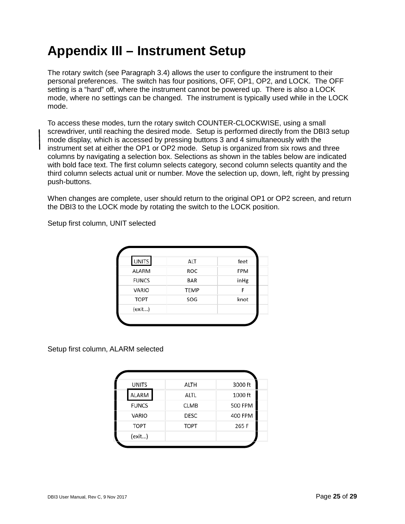## <span id="page-24-0"></span>**Appendix III – Instrument Setup**

The rotary switch (see Paragraph 3.4) allows the user to configure the instrument to their personal preferences. The switch has four positions, OFF, OP1, OP2, and LOCK. The OFF setting is a "hard" off, where the instrument cannot be powered up. There is also a LOCK mode, where no settings can be changed. The instrument is typically used while in the LOCK mode.

To access these modes, turn the rotary switch COUNTER-CLOCKWISE, using a small screwdriver, until reaching the desired mode. Setup is performed directly from the DBI3 setup mode display, which is accessed by pressing buttons 3 and 4 simultaneously with the instrument set at either the OP1 or OP2 mode. Setup is organized from six rows and three columns by navigating a selection box. Selections as shown in the tables below are indicated with bold face text. The first column selects category, second column selects quantity and the third column selects actual unit or number. Move the selection up, down, left, right by pressing push-buttons.

When changes are complete, user should return to the original OP1 or OP2 screen, and return the DBI3 to the LOCK mode by rotating the switch to the LOCK position.

Setup first column, UNIT selected

| <b>UNITS</b> | ALT         | feet |
|--------------|-------------|------|
| <b>ALARM</b> | ROC         | FPM  |
| <b>FUNCS</b> | <b>BAR</b>  | inHg |
| <b>VARIO</b> | <b>TEMP</b> | F    |
| <b>TOPT</b>  | SOG         | knot |
| (exit)       |             |      |

Setup first column, ALARM selected

| <b>UNITS</b> | ALTH        | 3000 ft        |
|--------------|-------------|----------------|
| ALARM        | ALTL        | 1000 ft        |
| <b>FUNCS</b> | <b>CLMB</b> | <b>500 FPM</b> |
| <b>VARIO</b> | <b>DESC</b> | 400 FPM        |
| <b>TOPT</b>  | <b>TOPT</b> | 265 F          |
| (exit)       |             |                |
|              |             |                |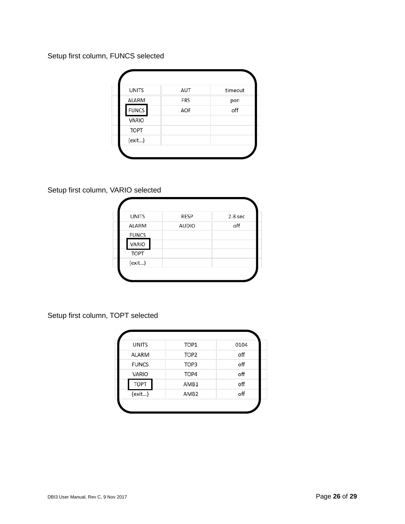Setup first column, FUNCS selected

| <b>UNITS</b> | AUT        | timeout |
|--------------|------------|---------|
| ALARM        | <b>FRS</b> | pon     |
| <b>FUNCS</b> | AOF        | off     |
| VARIO        |            |         |
| <b>TOPT</b>  |            |         |
| (exit)       |            |         |

Setup first column, VARIO selected

| <b>UNITS</b> | RESP         | 2.8 sec |
|--------------|--------------|---------|
| <b>ALARM</b> | <b>AUDIO</b> | off     |
| <b>FUNCS</b> |              |         |
| VARIO        |              |         |
| <b>TOPT</b>  |              |         |
| (exit)       |              |         |

Setup first column, TOPT selected

| <b>UNITS</b> | TOP1             | 0104 |
|--------------|------------------|------|
| <b>ALARM</b> | TOP <sub>2</sub> | off  |
| <b>FUNCS</b> | TOP3             | off  |
| VARIO        | TOP4             | off  |
| <b>TOPT</b>  | AMB1             | off  |
| (exit)       | AMB <sub>2</sub> | off  |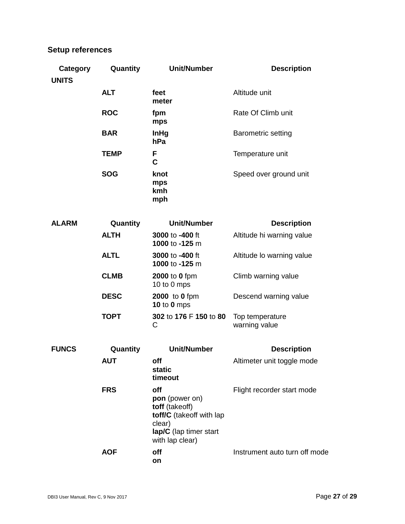#### **Setup references**

| Category<br><b>UNITS</b> | Quantity    | <b>Unit/Number</b>                                                                                                         | <b>Description</b>               |
|--------------------------|-------------|----------------------------------------------------------------------------------------------------------------------------|----------------------------------|
|                          | <b>ALT</b>  | feet<br>meter                                                                                                              | Altitude unit                    |
|                          | <b>ROC</b>  | fpm<br>mps                                                                                                                 | Rate Of Climb unit               |
|                          | <b>BAR</b>  | <b>InHg</b><br>hPa                                                                                                         | <b>Barometric setting</b>        |
|                          | <b>TEMP</b> | F<br>C                                                                                                                     | Temperature unit                 |
|                          | <b>SOG</b>  | knot<br>mps<br>kmh<br>mph                                                                                                  | Speed over ground unit           |
| <b>ALARM</b>             | Quantity    | <b>Unit/Number</b>                                                                                                         | <b>Description</b>               |
|                          | <b>ALTH</b> | 3000 to -400 ft<br>1000 to -125 m                                                                                          | Altitude hi warning value        |
|                          | <b>ALTL</b> | 3000 to -400 ft<br>1000 to -125 m                                                                                          | Altitude lo warning value        |
|                          | <b>CLMB</b> | <b>2000</b> to 0 fpm<br>10 to 0 mps                                                                                        | Climb warning value              |
|                          | <b>DESC</b> | <b>2000</b> to 0 fpm<br><b>10 to 0 mps</b>                                                                                 | Descend warning value            |
|                          | <b>TOPT</b> | 302 to 176 F 150 to 80<br>C                                                                                                | Top temperature<br>warning value |
| <b>FUNCS</b>             | Quantity    | <b>Unit/Number</b>                                                                                                         | <b>Description</b>               |
|                          | AUT         | off<br>static<br>timeout                                                                                                   | Altimeter unit toggle mode       |
|                          | <b>FRS</b>  | off<br>pon (power on)<br>toff (takeoff)<br>toff/C (takeoff with lap<br>clear)<br>lap/C (lap timer start<br>with lap clear) | Flight recorder start mode       |
|                          | <b>AOF</b>  | off<br>on                                                                                                                  | Instrument auto turn off mode    |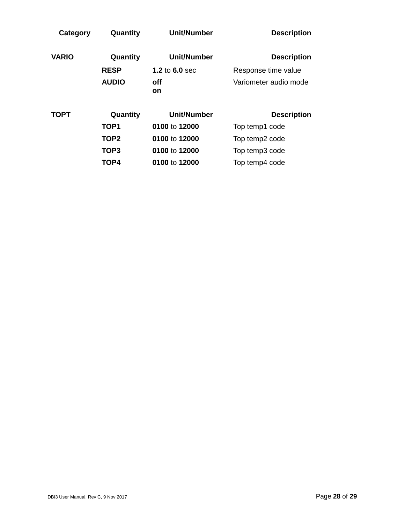| Quantity     | <b>Unit/Number</b> | <b>Description</b>    |
|--------------|--------------------|-----------------------|
| Quantity     | <b>Unit/Number</b> | <b>Description</b>    |
| <b>RESP</b>  | 1.2 to $6.0$ sec   | Response time value   |
| <b>AUDIO</b> | off<br><b>on</b>   | Variometer audio mode |
| Quantity     | <b>Unit/Number</b> | <b>Description</b>    |
| TOP1         | 0100 to 12000      | Top temp1 code        |
| TOP2         | 0100 to 12000      | Top temp2 code        |
| TOP3         | 0100 to 12000      | Top temp3 code        |
| TOP4         | 0100 to 12000      | Top temp4 code        |
|              |                    |                       |